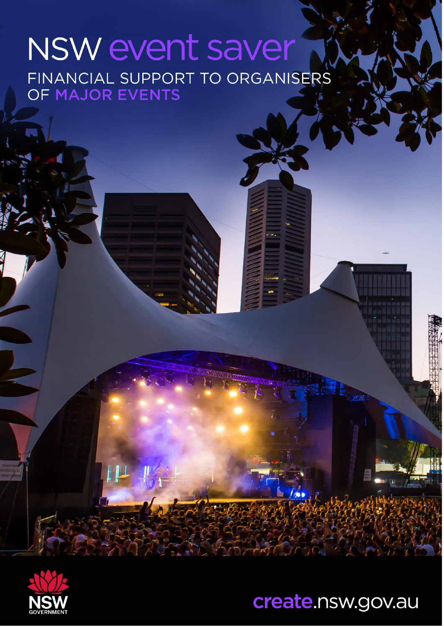# NSW event saver FINANCIAL SUPPORT TO ORGANISERS



create.nsw.gov.au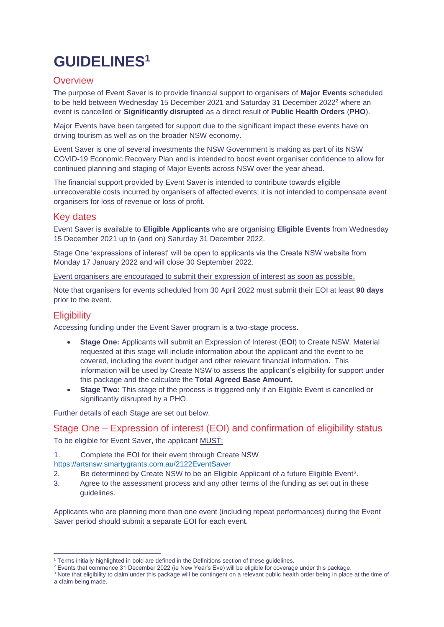## **GUIDELINES<sup>1</sup>**

#### **Overview**

The purpose of Event Saver is to provide financial support to organisers of **Major Events** scheduled to be held between Wednesday 15 December 2021 and Saturday 31 December 2022<sup>2</sup> where an event is cancelled or **Significantly disrupted** as a direct result of **Public Health Orders** (**PHO**).

Major Events have been targeted for support due to the significant impact these events have on driving tourism as well as on the broader NSW economy.

Event Saver is one of several investments the NSW Government is making as part of its NSW COVID-19 Economic Recovery Plan and is intended to boost event organiser confidence to allow for continued planning and staging of Major Events across NSW over the year ahead.

The financial support provided by Event Saver is intended to contribute towards eligible unrecoverable costs incurred by organisers of affected events; it is not intended to compensate event organisers for loss of revenue or loss of profit.

#### Key dates

Event Saver is available to **Eligible Applicants** who are organising **Eligible Events** from Wednesday 15 December 2021 up to (and on) Saturday 31 December 2022.

Stage One 'expressions of interest' will be open to applicants via the Create NSW website from Monday 17 January 2022 and will close 30 September 2022.

Event organisers are encouraged to submit their expression of interest as soon as possible.

Note that organisers for events scheduled from 30 April 2022 must submit their EOI at least **90 days** prior to the event.

#### **Eligibility**

Accessing funding under the Event Saver program is a two-stage process.

- **Stage One:** Applicants will submit an Expression of Interest (**EOI**) to Create NSW. Material requested at this stage will include information about the applicant and the event to be covered, including the event budget and other relevant financial information. This information will be used by Create NSW to assess the applicant's eligibility for support under this package and the calculate the **Total Agreed Base Amount.**
- **Stage Two:** This stage of the process is triggered only if an Eligible Event is cancelled or significantly disrupted by a PHO.

Further details of each Stage are set out below.

#### Stage One – Expression of interest (EOI) and confirmation of eligibility status

To be eligible for Event Saver, the applicant MUST:

1. Complete the EOI for their event through Create NSW

<https://artsnsw.smartygrants.com.au/2122EventSaver>

- 2. Be determined by Create NSW to be an Eligible Applicant of a future Eligible Event<sup>3</sup>.
- 3. Agree to the assessment process and any other terms of the funding as set out in these guidelines.

Applicants who are planning more than one event (including repeat performances) during the Event Saver period should submit a separate EOI for each event.

<sup>3</sup> Note that eligibility to claim under this package will be contingent on a relevant public health order being in place at the time of a claim being made.

<sup>1</sup> Terms initially highlighted in bold are defined in the Definitions section of these guidelines.

<sup>2</sup> Events that commence 31 December 2022 (ie New Year's Eve) will be eligible for coverage under this package.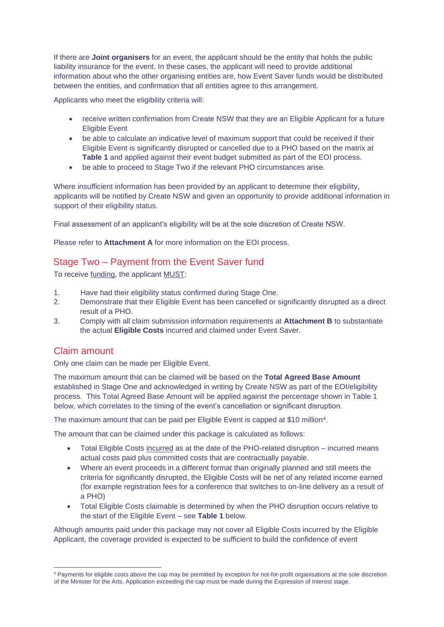If there are **Joint organisers** for an event, the applicant should be the entity that holds the public liability insurance for the event. In these cases, the applicant will need to provide additional information about who the other organising entities are, how Event Saver funds would be distributed between the entities, and confirmation that all entities agree to this arrangement.

Applicants who meet the eligibility criteria will:

- receive written confirmation from Create NSW that they are an Eligible Applicant for a future Eligible Event
- be able to calculate an indicative level of maximum support that could be received if their Eligible Event is significantly disrupted or cancelled due to a PHO based on the matrix at **Table 1** and applied against their event budget submitted as part of the EOI process.
- be able to proceed to Stage Two if the relevant PHO circumstances arise.

Where insufficient information has been provided by an applicant to determine their eligibility, applicants will be notified by Create NSW and given an opportunity to provide additional information in support of their eligibility status.

Final assessment of an applicant's eligibility will be at the sole discretion of Create NSW.

Please refer to **Attachment A** for more information on the EOI process.

#### Stage Two – Payment from the Event Saver fund

To receive funding, the applicant MUST:

- 1. Have had their eligibility status confirmed during Stage One.
- 2. Demonstrate that their Eligible Event has been cancelled or significantly disrupted as a direct result of a PHO.
- 3. Comply with all claim submission information requirements at **Attachment B** to substantiate the actual **Eligible Costs** incurred and claimed under Event Saver.

#### Claim amount

Only one claim can be made per Eligible Event.

The maximum amount that can be claimed will be based on the **Total Agreed Base Amount** established in Stage One and acknowledged in writing by Create NSW as part of the EOI/eligibility process. This Total Agreed Base Amount will be applied against the percentage shown in Table 1 below, which correlates to the timing of the event's cancellation or significant disruption.

The maximum amount that can be paid per Eligible Event is capped at \$10 million<sup>4</sup>.

The amount that can be claimed under this package is calculated as follows:

- Total Eligible Costs incurred as at the date of the PHO-related disruption incurred means actual costs paid plus committed costs that are contractually payable.
- Where an event proceeds in a different format than originally planned and still meets the criteria for significantly disrupted, the Eligible Costs will be net of any related income earned (for example registration fees for a conference that switches to on-line delivery as a result of a PHO)
- Total Eligible Costs claimable is determined by when the PHO disruption occurs relative to the start of the Eligible Event – see **Table 1** below.

Although amounts paid under this package may not cover all Eligible Costs incurred by the Eligible Applicant, the coverage provided is expected to be sufficient to build the confidence of event

<sup>4</sup> Payments for eligible costs above the cap may be permitted by exception for not-for-profit organisations at the sole discretion of the Minister for the Arts. Application exceeding the cap must be made during the Expression of Interest stage.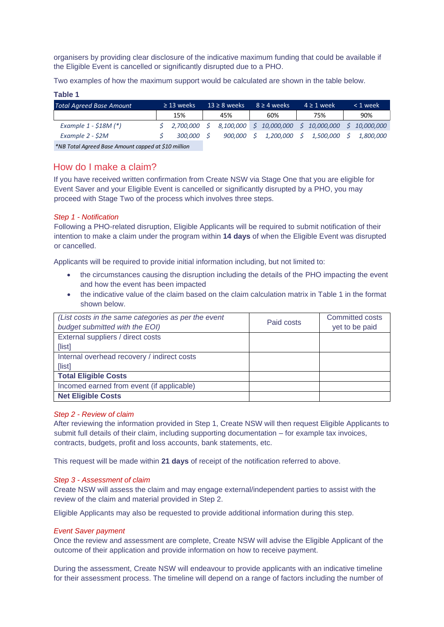organisers by providing clear disclosure of the indicative maximum funding that could be available if the Eligible Event is cancelled or significantly disrupted due to a PHO.

Two examples of how the maximum support would be calculated are shown in the table below.

| rable i                         |                 |                   |    |                                       |                  |    |                  |
|---------------------------------|-----------------|-------------------|----|---------------------------------------|------------------|----|------------------|
| <b>Total Agreed Base Amount</b> | $\geq$ 13 weeks | $13 \geq 8$ weeks |    | $8 \geq 4$ weeks                      | $4 \geq 1$ week  |    | $< 1$ week       |
|                                 | 15%             | 45%               |    | 60%                                   | 75%              |    | 90%              |
| Example $1 - $18M (*)$          | 2,700,000       |                   |    | 8,100,000 \$ 10,000,000 \$ 10,000,000 |                  |    | \$10,000,000     |
| Example 2 - \$2M                | 300,000         | 900.000           | -S | 1,200,000 \$                          | <i>1,500,000</i> | S. | <i>1.800.000</i> |
|                                 |                 |                   |    |                                       |                  |    |                  |

#### How do I make a claim?

#### *Step 1 - Notification*

**Table 1**

- the circumstances causing the disruption including the details of the PHO impacting the event and how the event has been impacted
- the indicative value of the claim based on the claim calculation matrix in Table 1 in the format shown below.

| <b>Total Agreed Base Amount</b>                                                                                                                                                                                                                                                                                  |                                                     | $\geq$ 13 weeks |          | $13 \geq 8$ weeks |            | $8 \geq 4$ weeks        |    | $4 \geq 1$ week                          |              |    | < 1 week     |
|------------------------------------------------------------------------------------------------------------------------------------------------------------------------------------------------------------------------------------------------------------------------------------------------------------------|-----------------------------------------------------|-----------------|----------|-------------------|------------|-------------------------|----|------------------------------------------|--------------|----|--------------|
|                                                                                                                                                                                                                                                                                                                  |                                                     | 15%             |          | 45%               |            | 60%                     |    | 75%                                      |              |    | 90%          |
| Example 1 - \$18M (*)                                                                                                                                                                                                                                                                                            | \$                                                  | 2,700,000       | $\sharp$ |                   |            | 8,100,000 \$ 10,000,000 |    |                                          | \$10,000,000 |    | \$10,000,000 |
| Example 2 - \$2M                                                                                                                                                                                                                                                                                                 | \$                                                  | 300,000         | S        | 900,000           |            | Ś.<br>1,200,000         | S. |                                          | 1,500,000    | \$ | 1,800,000    |
| *NB Total Agreed Base Amount capped at \$10 million                                                                                                                                                                                                                                                              |                                                     |                 |          |                   |            |                         |    |                                          |              |    |              |
|                                                                                                                                                                                                                                                                                                                  |                                                     |                 |          |                   |            |                         |    |                                          |              |    |              |
| How do I make a claim?                                                                                                                                                                                                                                                                                           |                                                     |                 |          |                   |            |                         |    |                                          |              |    |              |
| If you have received written confirmation from Create NSW via Stage One that you are eligible for                                                                                                                                                                                                                |                                                     |                 |          |                   |            |                         |    |                                          |              |    |              |
| Event Saver and your Eligible Event is cancelled or significantly disrupted by a PHO, you may                                                                                                                                                                                                                    |                                                     |                 |          |                   |            |                         |    |                                          |              |    |              |
| proceed with Stage Two of the process which involves three steps.                                                                                                                                                                                                                                                |                                                     |                 |          |                   |            |                         |    |                                          |              |    |              |
| Step 1 - Notification<br>Following a PHO-related disruption, Eligible Applicants will be required to submit notification of their<br>intention to make a claim under the program within 14 days of when the Eligible Event was disrupted<br>or cancelled.                                                        |                                                     |                 |          |                   |            |                         |    |                                          |              |    |              |
| Applicants will be required to provide initial information including, but not limited to:                                                                                                                                                                                                                        |                                                     |                 |          |                   |            |                         |    |                                          |              |    |              |
| the circumstances causing the disruption including the details of the PHO impacting the event<br>$\bullet$                                                                                                                                                                                                       |                                                     |                 |          |                   |            |                         |    |                                          |              |    |              |
| and how the event has been impacted                                                                                                                                                                                                                                                                              |                                                     |                 |          |                   |            |                         |    |                                          |              |    |              |
| the indicative value of the claim based on the claim calculation matrix in Table 1 in the format<br>$\bullet$                                                                                                                                                                                                    |                                                     |                 |          |                   |            |                         |    |                                          |              |    |              |
| shown below.                                                                                                                                                                                                                                                                                                     |                                                     |                 |          |                   |            |                         |    |                                          |              |    |              |
|                                                                                                                                                                                                                                                                                                                  |                                                     |                 |          |                   |            |                         |    |                                          |              |    |              |
| budget submitted with the EOI)                                                                                                                                                                                                                                                                                   | (List costs in the same categories as per the event |                 |          |                   | Paid costs |                         |    | <b>Committed costs</b><br>yet to be paid |              |    |              |
| External suppliers / direct costs                                                                                                                                                                                                                                                                                |                                                     |                 |          |                   |            |                         |    |                                          |              |    |              |
| [list]                                                                                                                                                                                                                                                                                                           |                                                     |                 |          |                   |            |                         |    |                                          |              |    |              |
| Internal overhead recovery / indirect costs                                                                                                                                                                                                                                                                      |                                                     |                 |          |                   |            |                         |    |                                          |              |    |              |
| [list]                                                                                                                                                                                                                                                                                                           |                                                     |                 |          |                   |            |                         |    |                                          |              |    |              |
| <b>Total Eligible Costs</b>                                                                                                                                                                                                                                                                                      |                                                     |                 |          |                   |            |                         |    |                                          |              |    |              |
| Incomed earned from event (if applicable)                                                                                                                                                                                                                                                                        |                                                     |                 |          |                   |            |                         |    |                                          |              |    |              |
| <b>Net Eligible Costs</b>                                                                                                                                                                                                                                                                                        |                                                     |                 |          |                   |            |                         |    |                                          |              |    |              |
| Step 2 - Review of claim<br>After reviewing the information provided in Step 1, Create NSW will then request Eligible Applicants to<br>submit full details of their claim, including supporting documentation - for example tax invoices,<br>contracts, budgets, profit and loss accounts, bank statements, etc. |                                                     |                 |          |                   |            |                         |    |                                          |              |    |              |
| This request will be made within 21 days of receipt of the notification referred to above.                                                                                                                                                                                                                       |                                                     |                 |          |                   |            |                         |    |                                          |              |    |              |
| Step 3 - Assessment of claim<br>Create NSW will assess the claim and may engage external/independent parties to assist with the<br>review of the claim and material provided in Step 2.                                                                                                                          |                                                     |                 |          |                   |            |                         |    |                                          |              |    |              |
| Eligible Applicants may also be requested to provide additional information during this step.                                                                                                                                                                                                                    |                                                     |                 |          |                   |            |                         |    |                                          |              |    |              |
| <b>Event Saver payment</b><br>Once the review and assessment are complete, Create NSW will advise the Eligible Applicant of the<br>outcome of their application and provide information on how to receive payment.                                                                                               |                                                     |                 |          |                   |            |                         |    |                                          |              |    |              |
| During the assessment, Create NSW will endeavour to provide applicants with an indicative timeline<br>for their assessment process. The timeline will depend on a range of factors including the number of                                                                                                       |                                                     |                 |          |                   |            |                         |    |                                          |              |    |              |

#### *Step 2 - Review of claim*

#### *Step 3 - Assessment of claim*

#### *Event Saver payment*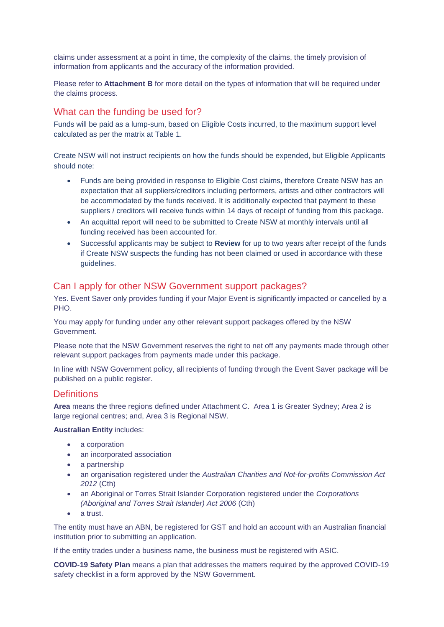claims under assessment at a point in time, the complexity of the claims, the timely provision of information from applicants and the accuracy of the information provided.

Please refer to **Attachment B** for more detail on the types of information that will be required under the claims process.

#### What can the funding be used for?

Funds will be paid as a lump-sum, based on Eligible Costs incurred, to the maximum support level calculated as per the matrix at Table 1.

Create NSW will not instruct recipients on how the funds should be expended, but Eligible Applicants should note:

- Funds are being provided in response to Eligible Cost claims, therefore Create NSW has an expectation that all suppliers/creditors including performers, artists and other contractors will be accommodated by the funds received. It is additionally expected that payment to these suppliers / creditors will receive funds within 14 days of receipt of funding from this package.
- An acquittal report will need to be submitted to Create NSW at monthly intervals until all funding received has been accounted for.
- Successful applicants may be subject to **Review** for up to two years after receipt of the funds if Create NSW suspects the funding has not been claimed or used in accordance with these guidelines.

#### Can I apply for other NSW Government support packages?

Yes. Event Saver only provides funding if your Major Event is significantly impacted or cancelled by a PHO.

You may apply for funding under any other relevant support packages offered by the NSW Government.

Please note that the NSW Government reserves the right to net off any payments made through other relevant support packages from payments made under this package.

In line with NSW Government policy, all recipients of funding through the Event Saver package will be published on a public register.

#### **Definitions**

**Area** means the three regions defined under Attachment C. Area 1 is Greater Sydney; Area 2 is large regional centres; and, Area 3 is Regional NSW.

**Australian Entity** includes:

- a corporation
- an incorporated association
- a partnership
- an organisation registered under the *Australian Charities and Not-for-profits Commission Act 2012* (Cth)
- an Aboriginal or Torres Strait Islander Corporation registered under the *Corporations (Aboriginal and Torres Strait Islander) Act 2006* (Cth)
- a trust.

The entity must have an ABN, be registered for GST and hold an account with an Australian financial institution prior to submitting an application.

If the entity trades under a business name, the business must be registered with ASIC.

**COVID-19 Safety Plan** means a plan that addresses the matters required by the approved COVID-19 safety checklist in a form approved by the NSW Government.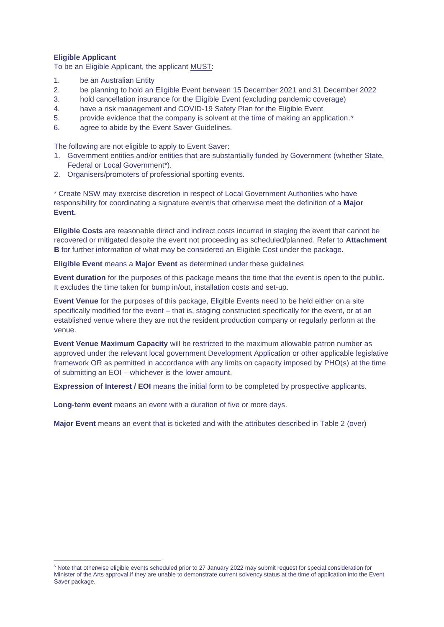#### **Eligible Applicant**

To be an Eligible Applicant, the applicant MUST:

- 1. be an Australian Entity
- 2. be planning to hold an Eligible Event between 15 December 2021 and 31 December 2022
- 3. hold cancellation insurance for the Eligible Event (excluding pandemic coverage)
- 4. have a risk management and COVID-19 Safety Plan for the Eligible Event
- 5. provide evidence that the company is solvent at the time of making an application.<sup>5</sup>
- 6. agree to abide by the Event Saver Guidelines.

The following are not eligible to apply to Event Saver:

- 1. Government entities and/or entities that are substantially funded by Government (whether State, Federal or Local Government\*).
- 2. Organisers/promoters of professional sporting events.

\* Create NSW may exercise discretion in respect of Local Government Authorities who have responsibility for coordinating a signature event/s that otherwise meet the definition of a **Major Event.**

**Eligible Costs** are reasonable direct and indirect costs incurred in staging the event that cannot be recovered or mitigated despite the event not proceeding as scheduled/planned. Refer to **Attachment B** for further information of what may be considered an Eligible Cost under the package.

**Eligible Event** means a **Major Event** as determined under these guidelines

**Event duration** for the purposes of this package means the time that the event is open to the public. It excludes the time taken for bump in/out, installation costs and set-up.

**Event Venue** for the purposes of this package, Eligible Events need to be held either on a site specifically modified for the event – that is, staging constructed specifically for the event, or at an established venue where they are not the resident production company or regularly perform at the venue.

**Event Venue Maximum Capacity** will be restricted to the maximum allowable patron number as approved under the relevant local government Development Application or other applicable legislative framework OR as permitted in accordance with any limits on capacity imposed by PHO(s) at the time of submitting an EOI – whichever is the lower amount.

**Expression of Interest / EOI** means the initial form to be completed by prospective applicants.

**Long-term event** means an event with a duration of five or more days.

**Major Event** means an event that is ticketed and with the attributes described in Table 2 (over)

<sup>5</sup> Note that otherwise eligible events scheduled prior to 27 January 2022 may submit request for special consideration for Minister of the Arts approval if they are unable to demonstrate current solvency status at the time of application into the Event Saver package.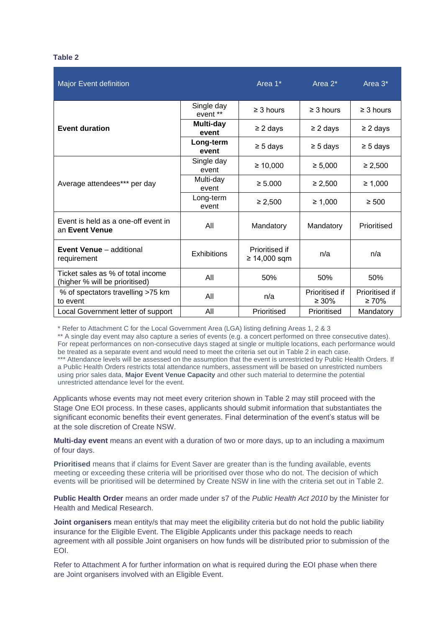#### **Table 2**

| <b>Major Event definition</b>                                       |                                      | Area 1*                          | Area $2^*$                    | Area 3*                       |  |
|---------------------------------------------------------------------|--------------------------------------|----------------------------------|-------------------------------|-------------------------------|--|
|                                                                     | Single day<br>event **               | $\geq$ 3 hours                   | $\geq$ 3 hours                | $\geq$ 3 hours                |  |
| <b>Event duration</b>                                               | Multi-day<br>event                   | $\geq$ 2 days                    | $\geq$ 2 days                 | $\geq$ 2 days                 |  |
|                                                                     | Long-term<br>event                   | $\geq$ 5 days                    | $\geq$ 5 days                 | $\geq$ 5 days                 |  |
|                                                                     | Single day<br>$\geq 10,000$<br>event |                                  | $\geq 5,000$                  | $\geq 2,500$                  |  |
| Average attendees*** per day                                        | Multi-day<br>event                   | $\geq 5.000$                     | $\geq 2,500$                  | $\geq 1,000$                  |  |
|                                                                     | Long-term<br>event                   | ≥ 2,500                          | $\geq 1,000$                  | $\geq 500$                    |  |
| Event is held as a one-off event in<br>an Event Venue               | All                                  | Mandatory                        | Mandatory                     | Prioritised                   |  |
| <b>Event Venue</b> - additional<br>requirement                      | <b>Exhibitions</b>                   | Prioritised if<br>$≥ 14,000$ sqm | n/a                           | n/a                           |  |
| Ticket sales as % of total income<br>(higher % will be prioritised) | All                                  | 50%                              | 50%                           | 50%                           |  |
| % of spectators travelling >75 km<br>to event                       | All                                  | n/a                              | Prioritised if<br>$\geq 30\%$ | Prioritised if<br>$\geq 70\%$ |  |
| Local Government letter of support                                  | All                                  | Prioritised                      | Prioritised                   | Mandatory                     |  |

\* Refer to Attachment C for the Local Government Area (LGA) listing defining Areas 1, 2 & 3

\*\* A single day event may also capture a series of events (e.g. a concert performed on three consecutive dates). For repeat performances on non-consecutive days staged at single or multiple locations, each performance would be treated as a separate event and would need to meet the criteria set out in Table 2 in each case.

\*\*\* Attendance levels will be assessed on the assumption that the event is unrestricted by Public Health Orders. If a Public Health Orders restricts total attendance numbers, assessment will be based on unrestricted numbers using prior sales data, **Major Event Venue Capacity** and other such material to determine the potential unrestricted attendance level for the event.

Applicants whose events may not meet every criterion shown in Table 2 may still proceed with the Stage One EOI process. In these cases, applicants should submit information that substantiates the significant economic benefits their event generates. Final determination of the event's status will be at the sole discretion of Create NSW.

**Multi-day event** means an event with a duration of two or more days, up to an including a maximum of four days.

**Prioritised** means that if claims for Event Saver are greater than is the funding available, events meeting or exceeding these criteria will be prioritised over those who do not. The decision of which events will be prioritised will be determined by Create NSW in line with the criteria set out in Table 2.

**Public Health Order** means an order made under s7 of the *Public Health Act 2010* by the Minister for Health and Medical Research.

**Joint organisers** mean entity/s that may meet the eligibility criteria but do not hold the public liability insurance for the Eligible Event. The Eligible Applicants under this package needs to reach agreement with all possible Joint organisers on how funds will be distributed prior to submission of the EOI.

Refer to Attachment A for further information on what is required during the EOI phase when there are Joint organisers involved with an Eligible Event.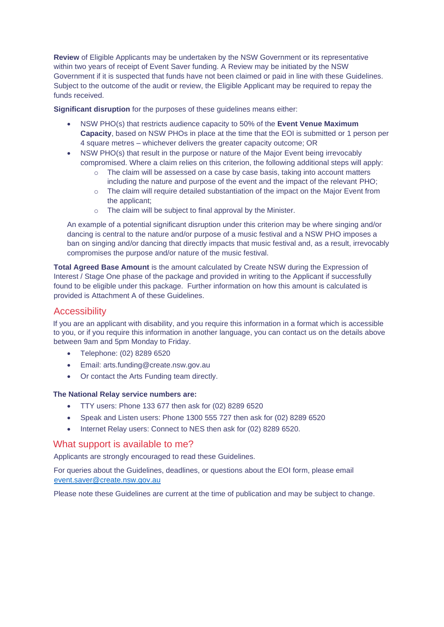**Review** of Eligible Applicants may be undertaken by the NSW Government or its representative within two years of receipt of Event Saver funding. A Review may be initiated by the NSW Government if it is suspected that funds have not been claimed or paid in line with these Guidelines. Subject to the outcome of the audit or review, the Eligible Applicant may be required to repay the funds received.

**Significant disruption** for the purposes of these guidelines means either:

- NSW PHO(s) that restricts audience capacity to 50% of the **Event Venue Maximum Capacity**, based on NSW PHOs in place at the time that the EOI is submitted or 1 person per 4 square metres – whichever delivers the greater capacity outcome; OR
- NSW PHO(s) that result in the purpose or nature of the Major Event being irrevocably compromised. Where a claim relies on this criterion, the following additional steps will apply:
	- o The claim will be assessed on a case by case basis, taking into account matters including the nature and purpose of the event and the impact of the relevant PHO;
	- o The claim will require detailed substantiation of the impact on the Major Event from the applicant;
	- o The claim will be subject to final approval by the Minister.

An example of a potential significant disruption under this criterion may be where singing and/or dancing is central to the nature and/or purpose of a music festival and a NSW PHO imposes a ban on singing and/or dancing that directly impacts that music festival and, as a result, irrevocably compromises the purpose and/or nature of the music festival.

**Total Agreed Base Amount** is the amount calculated by Create NSW during the Expression of Interest / Stage One phase of the package and provided in writing to the Applicant if successfully found to be eligible under this package. Further information on how this amount is calculated is provided is Attachment A of these Guidelines.

#### **Accessibility**

If you are an applicant with disability, and you require this information in a format which is accessible to you, or if you require this information in another language, you can contact us on the details above between 9am and 5pm Monday to Friday.

- Telephone: (02) 8289 6520
- Email: arts.funding@create.nsw.gov.au
- Or contact the Arts Funding team directly.

#### **The National Relay service numbers are:**

- TTY users: Phone 133 677 then ask for (02) 8289 6520
- Speak and Listen users: Phone 1300 555 727 then ask for (02) 8289 6520
- Internet Relay users: Connect to NES then ask for (02) 8289 6520.

#### What support is available to me?

Applicants are strongly encouraged to read these Guidelines.

For queries about the Guidelines, deadlines, or questions about the EOI form, please email [event.saver@create.nsw.gov.au](mailto:event.saver@create.nsw.gov.au) 

Please note these Guidelines are current at the time of publication and may be subject to change.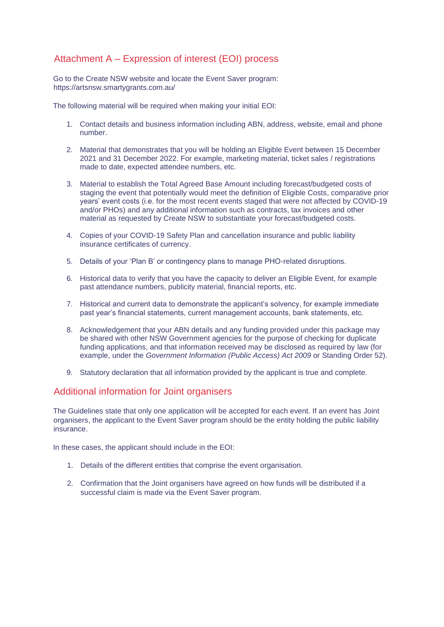#### Attachment A – Expression of interest (EOI) process

Go to the Create NSW website and locate the Event Saver program: https://artsnsw.smartygrants.com.au/

The following material will be required when making your initial EOI:

- 1. Contact details and business information including ABN, address, website, email and phone number.
- 2. Material that demonstrates that you will be holding an Eligible Event between 15 December 2021 and 31 December 2022. For example, marketing material, ticket sales / registrations made to date, expected attendee numbers, etc.
- 3. Material to establish the Total Agreed Base Amount including forecast/budgeted costs of staging the event that potentially would meet the definition of Eligible Costs, comparative prior years' event costs (i.e. for the most recent events staged that were not affected by COVID-19 and/or PHOs) and any additional information such as contracts, tax invoices and other material as requested by Create NSW to substantiate your forecast/budgeted costs.
- 4. Copies of your COVID-19 Safety Plan and cancellation insurance and public liability insurance certificates of currency.
- 5. Details of your 'Plan B' or contingency plans to manage PHO-related disruptions.
- 6. Historical data to verify that you have the capacity to deliver an Eligible Event, for example past attendance numbers, publicity material, financial reports, etc.
- 7. Historical and current data to demonstrate the applicant's solvency, for example immediate past year's financial statements, current management accounts, bank statements, etc.
- 8. Acknowledgement that your ABN details and any funding provided under this package may be shared with other NSW Government agencies for the purpose of checking for duplicate funding applications, and that information received may be disclosed as required by law (for example, under the *Government Information (Public Access) Act 2009* or Standing Order 52).
- 9. Statutory declaration that all information provided by the applicant is true and complete.

#### Additional information for Joint organisers

The Guidelines state that only one application will be accepted for each event. If an event has Joint organisers, the applicant to the Event Saver program should be the entity holding the public liability insurance.

In these cases, the applicant should include in the EOI:

- 1. Details of the different entities that comprise the event organisation.
- 2. Confirmation that the Joint organisers have agreed on how funds will be distributed if a successful claim is made via the Event Saver program.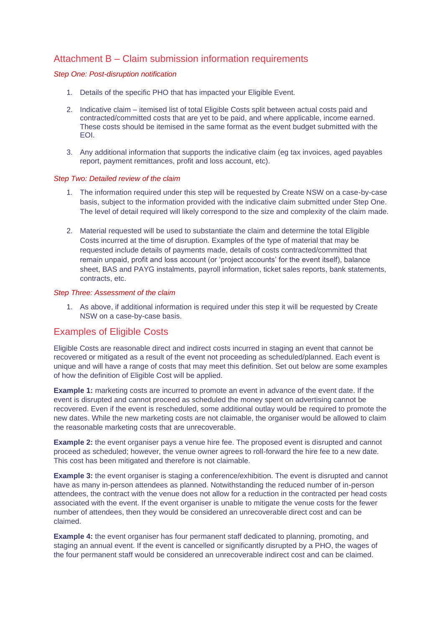#### Attachment B – Claim submission information requirements

#### *Step One: Post-disruption notification*

- 1. Details of the specific PHO that has impacted your Eligible Event.
- 2. Indicative claim itemised list of total Eligible Costs split between actual costs paid and contracted/committed costs that are yet to be paid, and where applicable, income earned. These costs should be itemised in the same format as the event budget submitted with the EOI.
- 3. Any additional information that supports the indicative claim (eg tax invoices, aged payables report, payment remittances, profit and loss account, etc).

#### *Step Two: Detailed review of the claim*

- 1. The information required under this step will be requested by Create NSW on a case-by-case basis, subject to the information provided with the indicative claim submitted under Step One. The level of detail required will likely correspond to the size and complexity of the claim made.
- 2. Material requested will be used to substantiate the claim and determine the total Eligible Costs incurred at the time of disruption. Examples of the type of material that may be requested include details of payments made, details of costs contracted/committed that remain unpaid, profit and loss account (or 'project accounts' for the event itself), balance sheet, BAS and PAYG instalments, payroll information, ticket sales reports, bank statements, contracts, etc.

#### *Step Three: Assessment of the claim*

1. As above, if additional information is required under this step it will be requested by Create NSW on a case-by-case basis.

#### Examples of Eligible Costs

Eligible Costs are reasonable direct and indirect costs incurred in staging an event that cannot be recovered or mitigated as a result of the event not proceeding as scheduled/planned. Each event is unique and will have a range of costs that may meet this definition. Set out below are some examples of how the definition of Eligible Cost will be applied.

**Example 1:** marketing costs are incurred to promote an event in advance of the event date. If the event is disrupted and cannot proceed as scheduled the money spent on advertising cannot be recovered. Even if the event is rescheduled, some additional outlay would be required to promote the new dates. While the new marketing costs are not claimable, the organiser would be allowed to claim the reasonable marketing costs that are unrecoverable.

**Example 2:** the event organiser pays a venue hire fee. The proposed event is disrupted and cannot proceed as scheduled; however, the venue owner agrees to roll-forward the hire fee to a new date. This cost has been mitigated and therefore is not claimable.

**Example 3:** the event organiser is staging a conference/exhibition. The event is disrupted and cannot have as many in-person attendees as planned. Notwithstanding the reduced number of in-person attendees, the contract with the venue does not allow for a reduction in the contracted per head costs associated with the event. If the event organiser is unable to mitigate the venue costs for the fewer number of attendees, then they would be considered an unrecoverable direct cost and can be claimed.

**Example 4:** the event organiser has four permanent staff dedicated to planning, promoting, and staging an annual event. If the event is cancelled or significantly disrupted by a PHO, the wages of the four permanent staff would be considered an unrecoverable indirect cost and can be claimed.